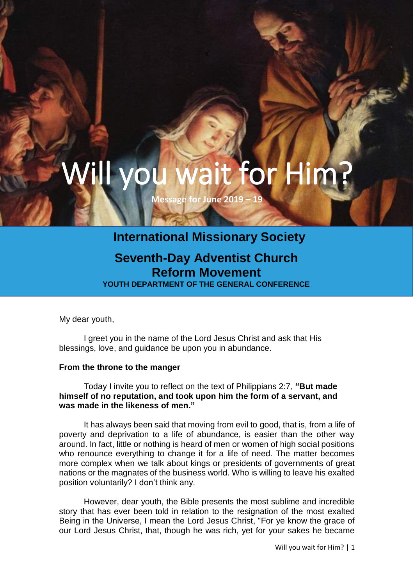# Will you wait for I

**Message for June 2019 – 19**

### **International Missionary Society**

## **Seventh-Day Adventist Church Reform Movement**

**YOUTH DEPARTMENT OF THE GENERAL CONFERENCE**

My dear youth,

I greet you in the name of the Lord Jesus Christ and ask that His blessings, love, and guidance be upon you in abundance.

#### **From the throne to the manger**

Today I invite you to reflect on the text of Philippians 2:7, **"But made himself of no reputation, and took upon him the form of a servant, and was made in the likeness of men."**

It has always been said that moving from evil to good, that is, from a life of poverty and deprivation to a life of abundance, is easier than the other way around. In fact, little or nothing is heard of men or women of high social positions who renounce everything to change it for a life of need. The matter becomes more complex when we talk about kings or presidents of governments of great nations or the magnates of the business world. Who is willing to leave his exalted position voluntarily? I don't think any.

However, dear youth, the Bible presents the most sublime and incredible story that has ever been told in relation to the resignation of the most exalted Being in the Universe, I mean the Lord Jesus Christ, "For ye know the grace of our Lord Jesus Christ, that, though he was rich, yet for your sakes he became

Will you wait for Him? | 1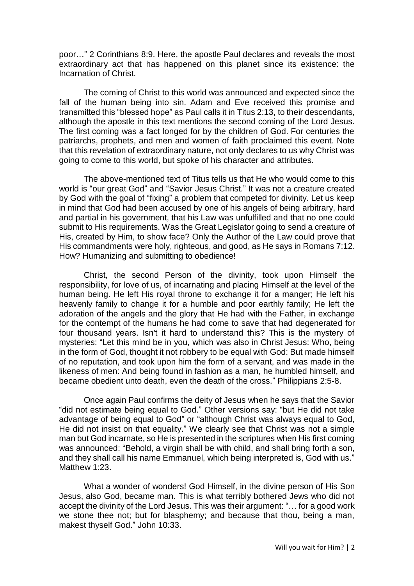poor…" 2 Corinthians 8:9. Here, the apostle Paul declares and reveals the most extraordinary act that has happened on this planet since its existence: the Incarnation of Christ.

The coming of Christ to this world was announced and expected since the fall of the human being into sin. Adam and Eve received this promise and transmitted this "blessed hope" as Paul calls it in Titus 2:13, to their descendants, although the apostle in this text mentions the second coming of the Lord Jesus. The first coming was a fact longed for by the children of God. For centuries the patriarchs, prophets, and men and women of faith proclaimed this event. Note that this revelation of extraordinary nature, not only declares to us why Christ was going to come to this world, but spoke of his character and attributes.

The above-mentioned text of Titus tells us that He who would come to this world is "our great God" and "Savior Jesus Christ." It was not a creature created by God with the goal of "fixing" a problem that competed for divinity. Let us keep in mind that God had been accused by one of his angels of being arbitrary, hard and partial in his government, that his Law was unfulfilled and that no one could submit to His requirements. Was the Great Legislator going to send a creature of His, created by Him, to show face? Only the Author of the Law could prove that His commandments were holy, righteous, and good, as He says in Romans 7:12. How? Humanizing and submitting to obedience!

Christ, the second Person of the divinity, took upon Himself the responsibility, for love of us, of incarnating and placing Himself at the level of the human being. He left His royal throne to exchange it for a manger; He left his heavenly family to change it for a humble and poor earthly family; He left the adoration of the angels and the glory that He had with the Father, in exchange for the contempt of the humans he had come to save that had degenerated for four thousand years. Isn't it hard to understand this? This is the mystery of mysteries: "Let this mind be in you, which was also in Christ Jesus: Who, being in the form of God, thought it not robbery to be equal with God: But made himself of no reputation, and took upon him the form of a servant, and was made in the likeness of men: And being found in fashion as a man, he humbled himself, and became obedient unto death, even the death of the cross." Philippians 2:5-8.

Once again Paul confirms the deity of Jesus when he says that the Savior "did not estimate being equal to God." Other versions say: "but He did not take advantage of being equal to God" or "although Christ was always equal to God, He did not insist on that equality." We clearly see that Christ was not a simple man but God incarnate, so He is presented in the scriptures when His first coming was announced: "Behold, a virgin shall be with child, and shall bring forth a son, and they shall call his name Emmanuel, which being interpreted is, God with us." Matthew 1:23.

What a wonder of wonders! God Himself, in the divine person of His Son Jesus, also God, became man. This is what terribly bothered Jews who did not accept the divinity of the Lord Jesus. This was their argument: "… for a good work we stone thee not; but for blasphemy; and because that thou, being a man, makest thyself God." John 10:33.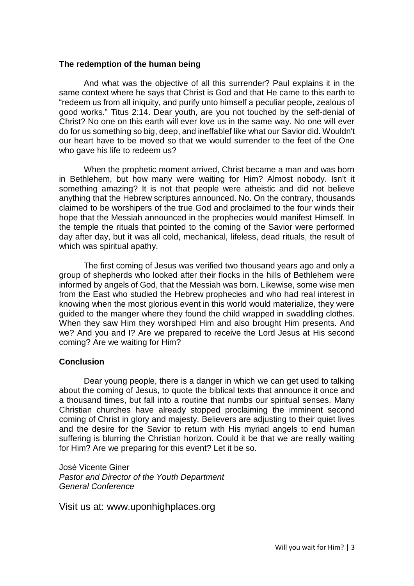#### **The redemption of the human being**

And what was the objective of all this surrender? Paul explains it in the same context where he says that Christ is God and that He came to this earth to "redeem us from all iniquity, and purify unto himself a peculiar people, zealous of good works." Titus 2:14. Dear youth, are you not touched by the self-denial of Christ? No one on this earth will ever love us in the same way. No one will ever do for us something so big, deep, and ineffablef like what our Savior did. Wouldn't our heart have to be moved so that we would surrender to the feet of the One who gave his life to redeem us?

When the prophetic moment arrived, Christ became a man and was born in Bethlehem, but how many were waiting for Him? Almost nobody. Isn't it something amazing? It is not that people were atheistic and did not believe anything that the Hebrew scriptures announced. No. On the contrary, thousands claimed to be worshipers of the true God and proclaimed to the four winds their hope that the Messiah announced in the prophecies would manifest Himself. In the temple the rituals that pointed to the coming of the Savior were performed day after day, but it was all cold, mechanical, lifeless, dead rituals, the result of which was spiritual apathy.

The first coming of Jesus was verified two thousand years ago and only a group of shepherds who looked after their flocks in the hills of Bethlehem were informed by angels of God, that the Messiah was born. Likewise, some wise men from the East who studied the Hebrew prophecies and who had real interest in knowing when the most glorious event in this world would materialize, they were guided to the manger where they found the child wrapped in swaddling clothes. When they saw Him they worshiped Him and also brought Him presents. And we? And you and I? Are we prepared to receive the Lord Jesus at His second coming? Are we waiting for Him?

#### **Conclusion**

Dear young people, there is a danger in which we can get used to talking about the coming of Jesus, to quote the biblical texts that announce it once and a thousand times, but fall into a routine that numbs our spiritual senses. Many Christian churches have already stopped proclaiming the imminent second coming of Christ in glory and majesty. Believers are adjusting to their quiet lives and the desire for the Savior to return with His myriad angels to end human suffering is blurring the Christian horizon. Could it be that we are really waiting for Him? Are we preparing for this event? Let it be so.

José Vicente Giner *Pastor and Director of the Youth Department General Conference*

Visit us at: [www.uponhighplaces.org](http://www.uponhighplaces.org/)